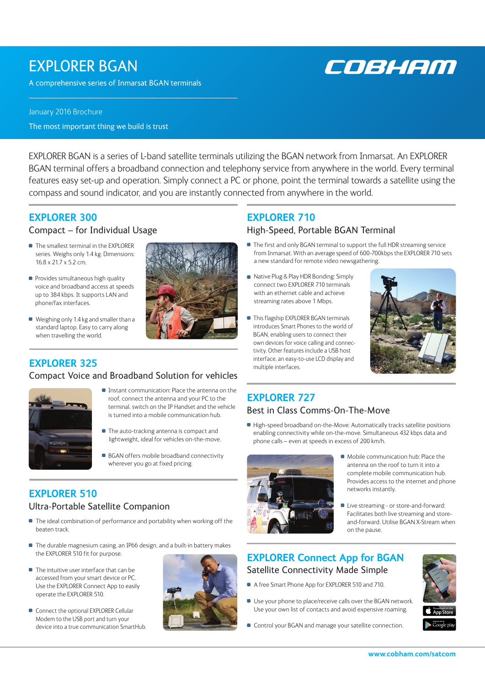## EXPLORER BGAN

A comprehensive series of Inmarsat BGAN terminals



#### January 2016 Brochure

The most important thing we build is trust

EXPLORER BGAN is a series of L-band satellite terminals utilizing the BGAN network from Inmarsat. An EXPLORER BGAN terminal offers a broadband connection and telephony service from anywhere in the world. Every terminal features easy set-up and operation. Simply connect a PC or phone, point the terminal towards a satellite using the compass and sound indicator, and you are instantly connected from anywhere in the world.

#### **EXPLORER 300**

#### Compact – for Individual Usage

- The smallest terminal in the EXPLORER series. Weighs only 1.4 kg. Dimensions: 16.8 x 21.7 x 5.2 cm.
- **Provides simultaneous high quality** voice and broadband access at speeds up to 384 kbps. It supports LAN and phone/fax interfaces.
- Weighing only 1.4 kg and smaller than a standard laptop. Easy to carry along when travelling the world.

#### Compact Voice and Broadband Solution for vehicles



- Instant communication: Place the antenna on the roof, connect the antenna and your PC to the terminal, switch on the IP Handset and the vehicle is turned into a mobile communication hub.
- **The auto-tracking antenna is compact and** lightweight, ideal for vehicles on-the-move.
- **BGAN** offers mobile broadband connectivity wherever you go at fixed pricing.

### **EXPLORER 510**

#### Ultra-Portable Satellite Companion

- $\blacksquare$  The ideal combination of performance and portability when working off the beaten track.
- The durable magnesium casing, an IP66 design, and a built-in battery makes the EXPLORER 510 fit for purpose.
- The intuitive user interface that can be accessed from your smart device or PC. Use the EXPLORER Connect App to easily operate the EXPLORER 510.
- Connect the optional EXPLORER Cellular Modem to the USB port and turn your device into a true communication SmartHub.



## **EXPLORER 710**

#### High-Speed, Portable BGAN Terminal

- The first and only BGAN terminal to support the full HDR streaming service from Inmarsat. With an average speed of 600-700kbps the EXPLORER 710 sets a new standard for remote video newsgathering.
- Native Plug & Play HDR Bonding: Simply connect two EXPLORER 710 terminals with an ethernet cable and achieve streaming rates above 1 Mbps.
- **This flagship EXPLORER BGAN terminals** introduces Smart Phones to the world of BGAN, enabling users to connect their own devices for voice calling and connectivity. Other features include a USB host **EXPLORER 325** interface, an easy-to-use LCD display and multiple interfaces.



#### **EXPLORER 727** Best in Class Comms-On-The-Move

High-speed broadband on-the-Move: Automatically tracks satellite positions enabling connectivity while on-the-move. Simultaneous 432 kbps data and phone calls – even at speeds in excess of 200 km/h.



- $\blacksquare$  Mobile communication hub: Place the antenna on the roof to turn it into a complete mobile communication hub. Provides access to the internet and phone networks instantly.
- Live streaming or store-and-forward: Facilitates both live streaming and storeand-forward. Utilise BGAN X-Stream when on the pause.

### **EXPLORER Connect App for BGAN** Satellite Connectivity Made Simple

- A free Smart Phone App for EXPLORER 510 and 710.
- Use your phone to place/receive calls over the BGAN network. Use your own list of contacts and avoid expensive roaming.



**Control your BGAN and manage your satellite connection.**